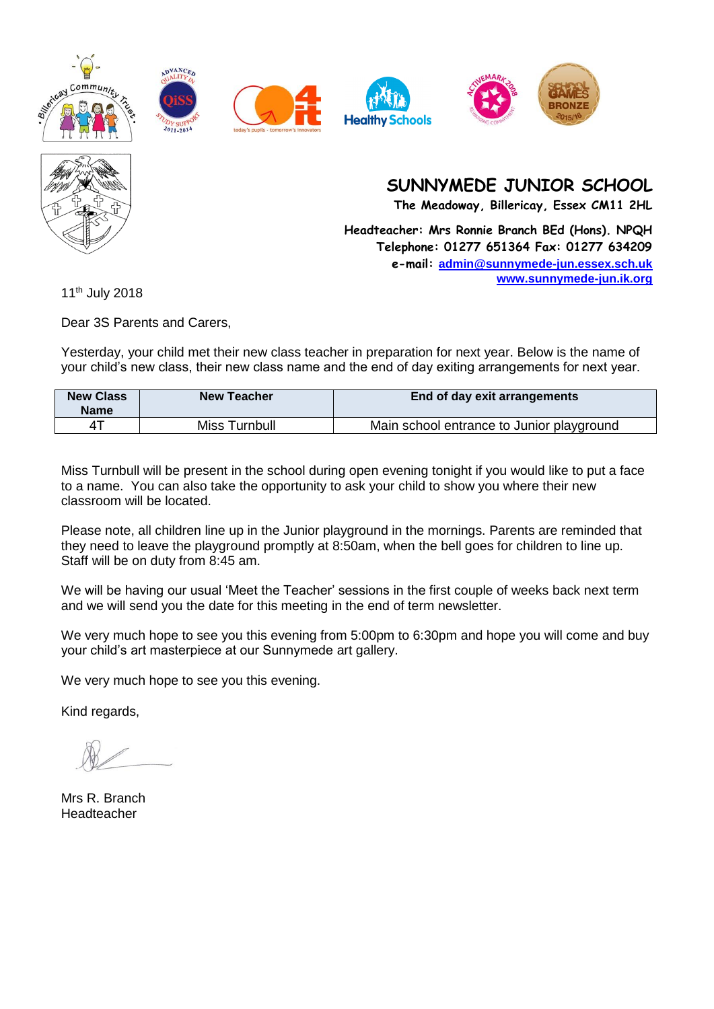











**The Meadoway, Billericay, Essex CM11 2HL**

**Headteacher: Mrs Ronnie Branch BEd (Hons). NPQH Telephone: 01277 651364 Fax: 01277 634209 e-mail: [admin@sunnymede-jun.essex.sch.uk](mailto:admin@sunnymede-jun.essex.sch.uk) [www.sunnymede-jun.ik.org](http://www.sunnymede-jun.ik.org/)**

11th July 2018

Dear 3S Parents and Carers,

Yesterday, your child met their new class teacher in preparation for next year. Below is the name of your child's new class, their new class name and the end of day exiting arrangements for next year.

| <b>New Class</b><br><b>Name</b> | <b>New Teacher</b> | End of day exit arrangements              |
|---------------------------------|--------------------|-------------------------------------------|
|                                 | Miss Turnbull      | Main school entrance to Junior playground |

Miss Turnbull will be present in the school during open evening tonight if you would like to put a face to a name. You can also take the opportunity to ask your child to show you where their new classroom will be located.

Please note, all children line up in the Junior playground in the mornings. Parents are reminded that they need to leave the playground promptly at 8:50am, when the bell goes for children to line up. Staff will be on duty from 8:45 am.

We will be having our usual 'Meet the Teacher' sessions in the first couple of weeks back next term and we will send you the date for this meeting in the end of term newsletter.

We very much hope to see you this evening from 5:00pm to 6:30pm and hope you will come and buy your child's art masterpiece at our Sunnymede art gallery.

We very much hope to see you this evening.

Mrs R. Branch Headteacher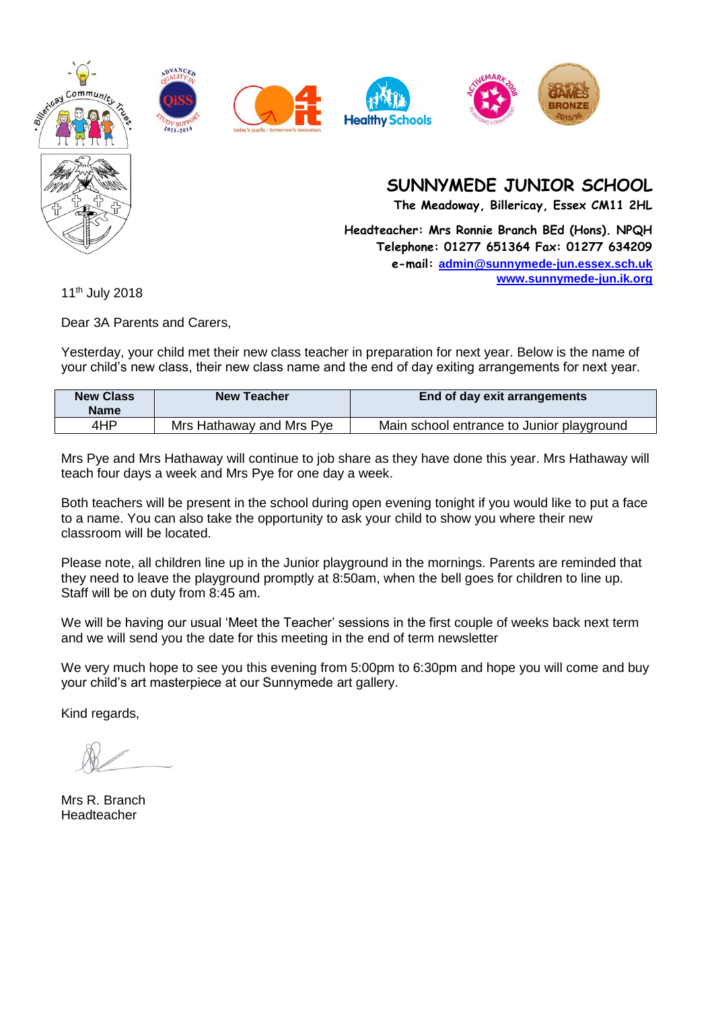









**The Meadoway, Billericay, Essex CM11 2HL**

**Headteacher: Mrs Ronnie Branch BEd (Hons). NPQH Telephone: 01277 651364 Fax: 01277 634209 e-mail: [admin@sunnymede-jun.essex.sch.uk](mailto:admin@sunnymede-jun.essex.sch.uk) [www.sunnymede-jun.ik.org](http://www.sunnymede-jun.ik.org/)**

11th July 2018

Dear 3A Parents and Carers,

Yesterday, your child met their new class teacher in preparation for next year. Below is the name of your child's new class, their new class name and the end of day exiting arrangements for next year.

| <b>New Class</b><br><b>Name</b> | <b>New Teacher</b>       | End of day exit arrangements              |
|---------------------------------|--------------------------|-------------------------------------------|
| 4HP                             | Mrs Hathaway and Mrs Pye | Main school entrance to Junior playground |

Mrs Pye and Mrs Hathaway will continue to job share as they have done this year. Mrs Hathaway will teach four days a week and Mrs Pye for one day a week.

Both teachers will be present in the school during open evening tonight if you would like to put a face to a name. You can also take the opportunity to ask your child to show you where their new classroom will be located.

Please note, all children line up in the Junior playground in the mornings. Parents are reminded that they need to leave the playground promptly at 8:50am, when the bell goes for children to line up. Staff will be on duty from 8:45 am.

We will be having our usual 'Meet the Teacher' sessions in the first couple of weeks back next term and we will send you the date for this meeting in the end of term newsletter

We very much hope to see you this evening from 5:00pm to 6:30pm and hope you will come and buy your child's art masterpiece at our Sunnymede art gallery.

Mrs R. Branch Headteacher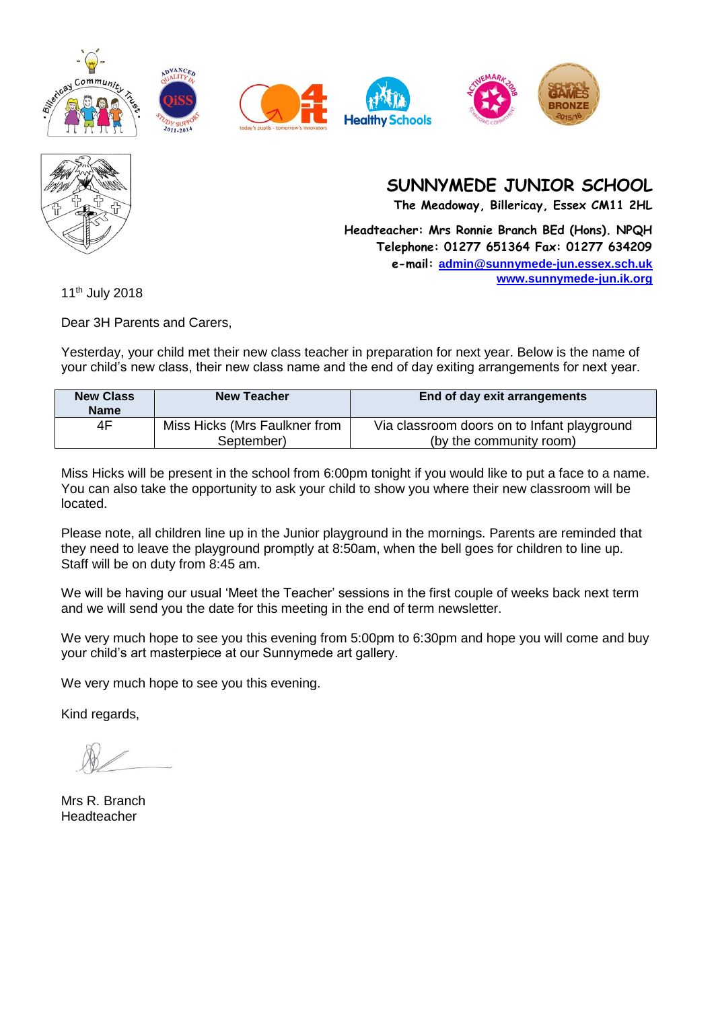



**The Meadoway, Billericay, Essex CM11 2HL**

**Headteacher: Mrs Ronnie Branch BEd (Hons). NPQH Telephone: 01277 651364 Fax: 01277 634209 e-mail: [admin@sunnymede-jun.essex.sch.uk](mailto:admin@sunnymede-jun.essex.sch.uk) [www.sunnymede-jun.ik.org](http://www.sunnymede-jun.ik.org/)**

11th July 2018

Dear 3H Parents and Carers,

Yesterday, your child met their new class teacher in preparation for next year. Below is the name of your child's new class, their new class name and the end of day exiting arrangements for next year.

| <b>New Class</b><br><b>Name</b> | <b>New Teacher</b>                          | End of day exit arrangements                                           |
|---------------------------------|---------------------------------------------|------------------------------------------------------------------------|
| 4F                              | Miss Hicks (Mrs Faulkner from<br>September) | Via classroom doors on to Infant playground<br>(by the community room) |

Miss Hicks will be present in the school from 6:00pm tonight if you would like to put a face to a name. You can also take the opportunity to ask your child to show you where their new classroom will be located.

Please note, all children line up in the Junior playground in the mornings. Parents are reminded that they need to leave the playground promptly at 8:50am, when the bell goes for children to line up. Staff will be on duty from 8:45 am.

We will be having our usual 'Meet the Teacher' sessions in the first couple of weeks back next term and we will send you the date for this meeting in the end of term newsletter.

We very much hope to see you this evening from 5:00pm to 6:30pm and hope you will come and buy your child's art masterpiece at our Sunnymede art gallery.

We very much hope to see you this evening.

Mrs R. Branch Headteacher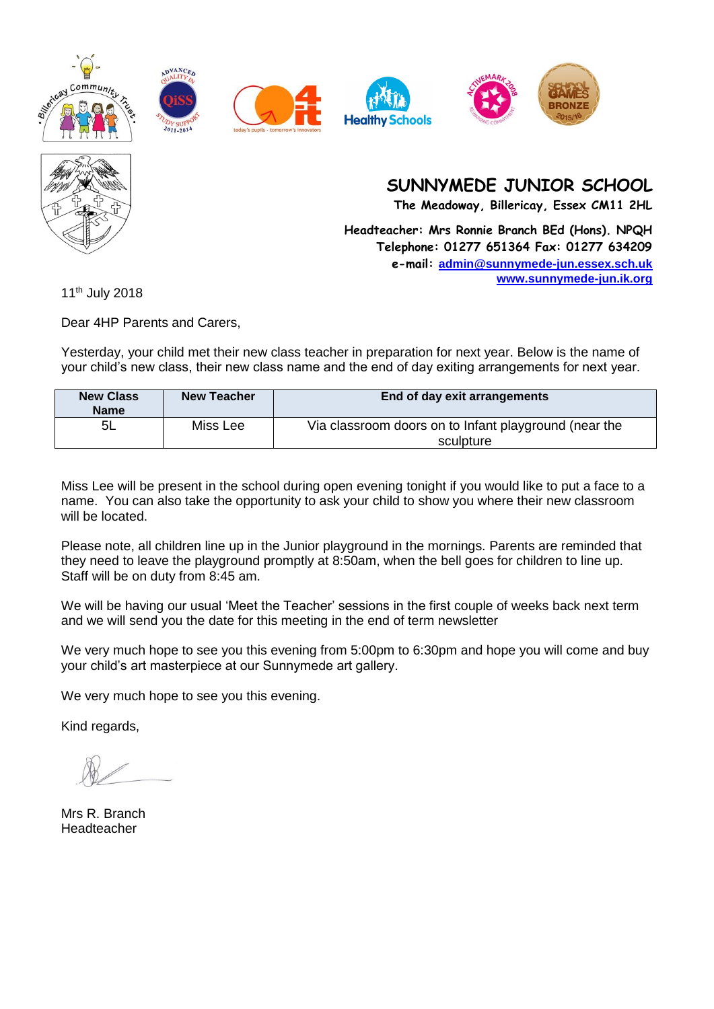











**The Meadoway, Billericay, Essex CM11 2HL**

**Headteacher: Mrs Ronnie Branch BEd (Hons). NPQH Telephone: 01277 651364 Fax: 01277 634209 e-mail: [admin@sunnymede-jun.essex.sch.uk](mailto:admin@sunnymede-jun.essex.sch.uk) [www.sunnymede-jun.ik.org](http://www.sunnymede-jun.ik.org/)**

11th July 2018

Dear 4HP Parents and Carers,

Yesterday, your child met their new class teacher in preparation for next year. Below is the name of your child's new class, their new class name and the end of day exiting arrangements for next year.

| <b>New Class</b><br><b>Name</b> | <b>New Teacher</b> | End of day exit arrangements                                       |
|---------------------------------|--------------------|--------------------------------------------------------------------|
| -5L                             | Miss Lee           | Via classroom doors on to Infant playground (near the<br>sculpture |

Miss Lee will be present in the school during open evening tonight if you would like to put a face to a name. You can also take the opportunity to ask your child to show you where their new classroom will be located.

Please note, all children line up in the Junior playground in the mornings. Parents are reminded that they need to leave the playground promptly at 8:50am, when the bell goes for children to line up. Staff will be on duty from 8:45 am.

We will be having our usual 'Meet the Teacher' sessions in the first couple of weeks back next term and we will send you the date for this meeting in the end of term newsletter

We very much hope to see you this evening from 5:00pm to 6:30pm and hope you will come and buy your child's art masterpiece at our Sunnymede art gallery.

We very much hope to see you this evening.

Mrs R. Branch Headteacher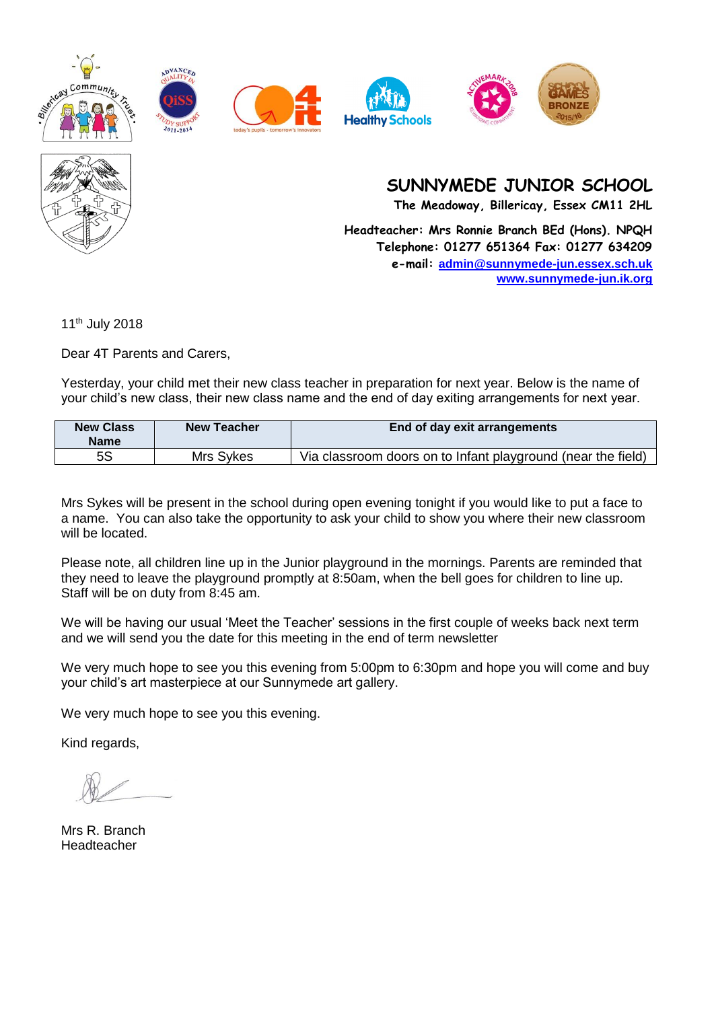











**The Meadoway, Billericay, Essex CM11 2HL**

**Headteacher: Mrs Ronnie Branch BEd (Hons). NPQH Telephone: 01277 651364 Fax: 01277 634209 e-mail: [admin@sunnymede-jun.essex.sch.uk](mailto:admin@sunnymede-jun.essex.sch.uk) [www.sunnymede-jun.ik.org](http://www.sunnymede-jun.ik.org/)**

11th July 2018

Dear 4T Parents and Carers,

Yesterday, your child met their new class teacher in preparation for next year. Below is the name of your child's new class, their new class name and the end of day exiting arrangements for next year.

| <b>New Class</b><br><b>Name</b> | <b>New Teacher</b> | <b>End of day exit arrangements</b>                          |
|---------------------------------|--------------------|--------------------------------------------------------------|
| 5S                              | Mrs Sykes          | Via classroom doors on to Infant playground (near the field) |

Mrs Sykes will be present in the school during open evening tonight if you would like to put a face to a name. You can also take the opportunity to ask your child to show you where their new classroom will be located.

Please note, all children line up in the Junior playground in the mornings. Parents are reminded that they need to leave the playground promptly at 8:50am, when the bell goes for children to line up. Staff will be on duty from 8:45 am.

We will be having our usual 'Meet the Teacher' sessions in the first couple of weeks back next term and we will send you the date for this meeting in the end of term newsletter

We very much hope to see you this evening from 5:00pm to 6:30pm and hope you will come and buy your child's art masterpiece at our Sunnymede art gallery.

We very much hope to see you this evening.

Mrs R. Branch Headteacher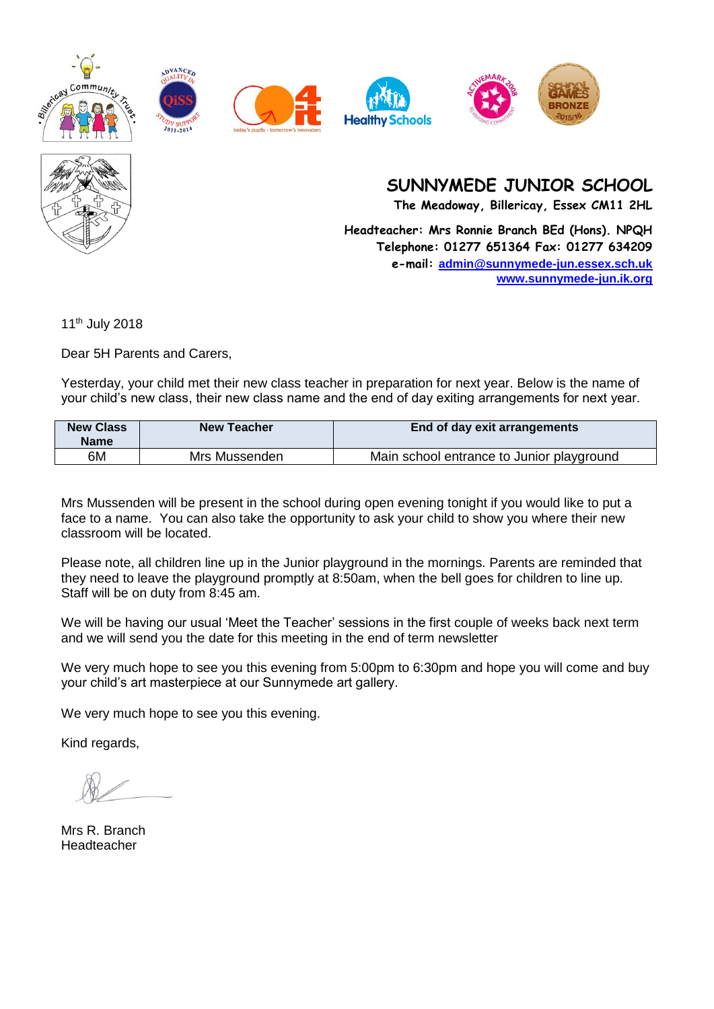











**The Meadoway, Billericay, Essex CM11 2HL**

**Headteacher: Mrs Ronnie Branch BEd (Hons). NPQH Telephone: 01277 651364 Fax: 01277 634209 e-mail: [admin@sunnymede-jun.essex.sch.uk](mailto:admin@sunnymede-jun.essex.sch.uk) [www.sunnymede-jun.ik.org](http://www.sunnymede-jun.ik.org/)**

11th July 2018

Dear 5H Parents and Carers,

Yesterday, your child met their new class teacher in preparation for next year. Below is the name of your child's new class, their new class name and the end of day exiting arrangements for next year.

| <b>New Class</b><br><b>Name</b> | <b>New Teacher</b> | <b>End of day exit arrangements</b>       |
|---------------------------------|--------------------|-------------------------------------------|
| 6M                              | Mrs Mussenden      | Main school entrance to Junior playground |

Mrs Mussenden will be present in the school during open evening tonight if you would like to put a face to a name. You can also take the opportunity to ask your child to show you where their new classroom will be located.

Please note, all children line up in the Junior playground in the mornings. Parents are reminded that they need to leave the playground promptly at 8:50am, when the bell goes for children to line up. Staff will be on duty from 8:45 am.

We will be having our usual 'Meet the Teacher' sessions in the first couple of weeks back next term and we will send you the date for this meeting in the end of term newsletter

We very much hope to see you this evening from 5:00pm to 6:30pm and hope you will come and buy your child's art masterpiece at our Sunnymede art gallery.

We very much hope to see you this evening.

Mrs R. Branch Headteacher